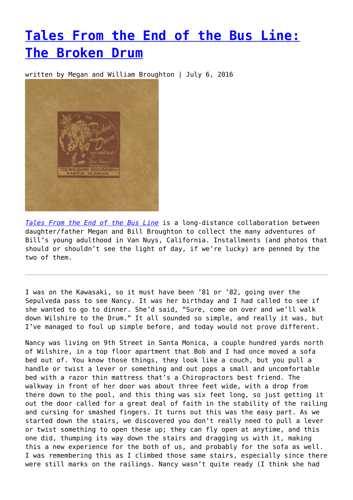## **[Tales From the End of the Bus Line:](https://entropymag.org/tales-from-the-end-of-the-bus-line-the-broken-drum/) [The Broken Drum](https://entropymag.org/tales-from-the-end-of-the-bus-line-the-broken-drum/)**

written by Megan and William Broughton | July 6, 2016



*[Tales From the End of the Bus Line](https://entropymag.org/tag/tales-from-the-end-of-the-bus-line/)* is a long-distance collaboration between daughter/father Megan and Bill Broughton to collect the many adventures of Bill's young adulthood in Van Nuys, California. Installments (and photos that should or shouldn't see the light of day, if we're lucky) are penned by the two of them.

I was on the Kawasaki, so it must have been '81 or '82, going over the Sepulveda pass to see Nancy. It was her birthday and I had called to see if she wanted to go to dinner. She'd said, "Sure, come on over and we'll walk down Wilshire to the Drum." It all sounded so simple, and really it was, but I've managed to foul up simple before, and today would not prove different.

Nancy was living on 9th Street in Santa Monica, a couple hundred yards north of Wilshire, in a top floor apartment that Bob and I had once moved a sofa bed out of. You know those things, they look like a couch, but you pull a handle or twist a lever or something and out pops a small and uncomfortable bed with a razor thin mattress that's a Chiropractors best friend. The walkway in front of her door was about three feet wide, with a drop from there down to the pool, and this thing was six feet long, so just getting it out the door called for a great deal of faith in the stability of the railing and cursing for smashed fingers. It turns out this was the easy part. As we started down the stairs, we discovered you don't really need to pull a lever or twist something to open these up; they can fly open at anytime, and this one did, thumping its way down the stairs and dragging us with it, making this a new experience for the both of us, and probably for the sofa as well. I was remembering this as I climbed those same stairs, especially since there were still marks on the railings. Nancy wasn't quite ready (I think she had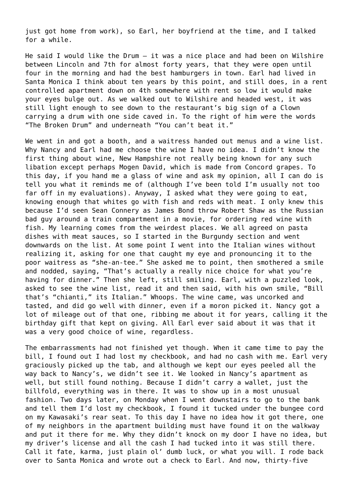just got home from work), so Earl, her boyfriend at the time, and I talked for a while.

He said I would like the Drum – it was a nice place and had been on Wilshire between Lincoln and 7th for almost forty years, that they were open until four in the morning and had the best hamburgers in town. Earl had lived in Santa Monica I think about ten years by this point, and still does, in a rent controlled apartment down on 4th somewhere with rent so low it would make your eyes bulge out. As we walked out to Wilshire and headed west, it was still light enough to see down to the restaurant's big sign of a Clown carrying a drum with one side caved in. To the right of him were the words "The Broken Drum" and underneath "You can't beat it."

We went in and got a booth, and a waitress handed out menus and a wine list. Why Nancy and Earl had me choose the wine I have no idea. I didn't know the first thing about wine, New Hampshire not really being known for any such libation except perhaps Mogen David, which is made from Concord grapes. To this day, if you hand me a glass of wine and ask my opinion, all I can do is tell you what it reminds me of (although I've been told I'm usually not too far off in my evaluations). Anyway, I asked what they were going to eat, knowing enough that whites go with fish and reds with meat. I only knew this because I'd seen Sean Connery as James Bond throw Robert Shaw as the Russian bad guy around a train compartment in a movie, for ordering red wine with fish. My learning comes from the weirdest places. We all agreed on pasta dishes with meat sauces, so I started in the Burgundy section and went downwards on the list. At some point I went into the Italian wines without realizing it, asking for one that caught my eye and pronouncing it to the poor waitress as "she-an-tee." She asked me to point, then smothered a smile and nodded, saying, "That's actually a really nice choice for what you're having for dinner." Then she left, still smiling. Earl, with a puzzled look, asked to see the wine list, read it and then said, with his own smile, "Bill that's "chianti," its Italian." Whoops. The wine came, was uncorked and tasted, and did go well with dinner, even if a moron picked it. Nancy got a lot of mileage out of that one, ribbing me about it for years, calling it the birthday gift that kept on giving. All Earl ever said about it was that it was a very good choice of wine, regardless.

The embarrassments had not finished yet though. When it came time to pay the bill, I found out I had lost my checkbook, and had no cash with me. Earl very graciously picked up the tab, and although we kept our eyes peeled all the way back to Nancy's, we didn't see it. We looked in Nancy's apartment as well, but still found nothing. Because I didn't carry a wallet, just the billfold, everything was in there. It was to show up in a most unusual fashion. Two days later, on Monday when I went downstairs to go to the bank and tell them I'd lost my checkbook, I found it tucked under the bungee cord on my Kawasaki's rear seat. To this day I have no idea how it got there, one of my neighbors in the apartment building must have found it on the walkway and put it there for me. Why they didn't knock on my door I have no idea, but my driver's license and all the cash I had tucked into it was still there. Call it fate, karma, just plain ol' dumb luck, or what you will. I rode back over to Santa Monica and wrote out a check to Earl. And now, thirty-five